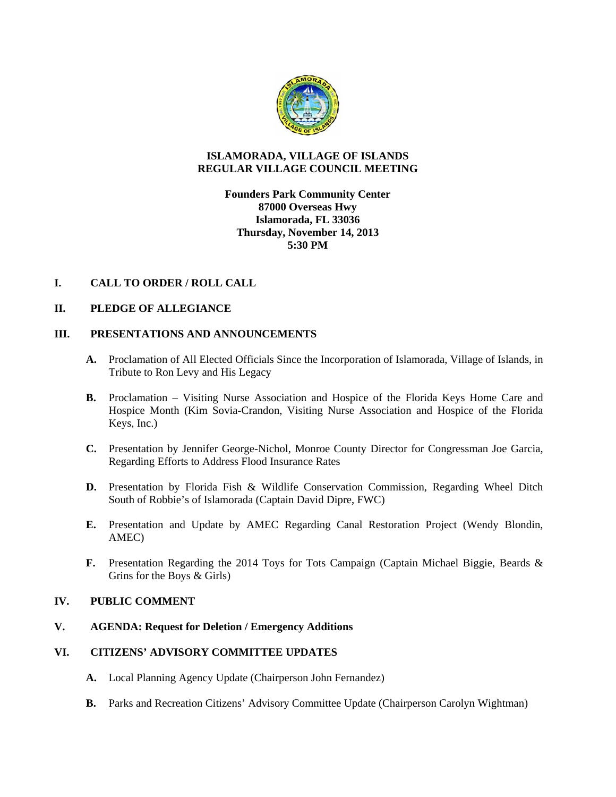

# **ISLAMORADA, VILLAGE OF ISLANDS REGULAR VILLAGE COUNCIL MEETING**

**Founders Park Community Center 87000 Overseas Hwy Islamorada, FL 33036 Thursday, November 14, 2013 5:30 PM** 

# **I. CALL TO ORDER / ROLL CALL**

## **II. PLEDGE OF ALLEGIANCE**

# **III. PRESENTATIONS AND ANNOUNCEMENTS**

- **A.** Proclamation of All Elected Officials Since the Incorporation of Islamorada, Village of Islands, in Tribute to Ron Levy and His Legacy
- **B.** Proclamation Visiting Nurse Association and Hospice of the Florida Keys Home Care and Hospice Month (Kim Sovia-Crandon, Visiting Nurse Association and Hospice of the Florida Keys, Inc.)
- **C.** Presentation by Jennifer George-Nichol, Monroe County Director for Congressman Joe Garcia, Regarding Efforts to Address Flood Insurance Rates
- **D.** Presentation by Florida Fish & Wildlife Conservation Commission, Regarding Wheel Ditch South of Robbie's of Islamorada (Captain David Dipre, FWC)
- **E.** Presentation and Update by AMEC Regarding Canal Restoration Project (Wendy Blondin, AMEC)
- **F.** Presentation Regarding the 2014 Toys for Tots Campaign (Captain Michael Biggie, Beards & Grins for the Boys & Girls)

## **IV. PUBLIC COMMENT**

**V. AGENDA: Request for Deletion / Emergency Additions** 

# **VI. CITIZENS' ADVISORY COMMITTEE UPDATES**

- **A.** Local Planning Agency Update (Chairperson John Fernandez)
- **B.** Parks and Recreation Citizens' Advisory Committee Update (Chairperson Carolyn Wightman)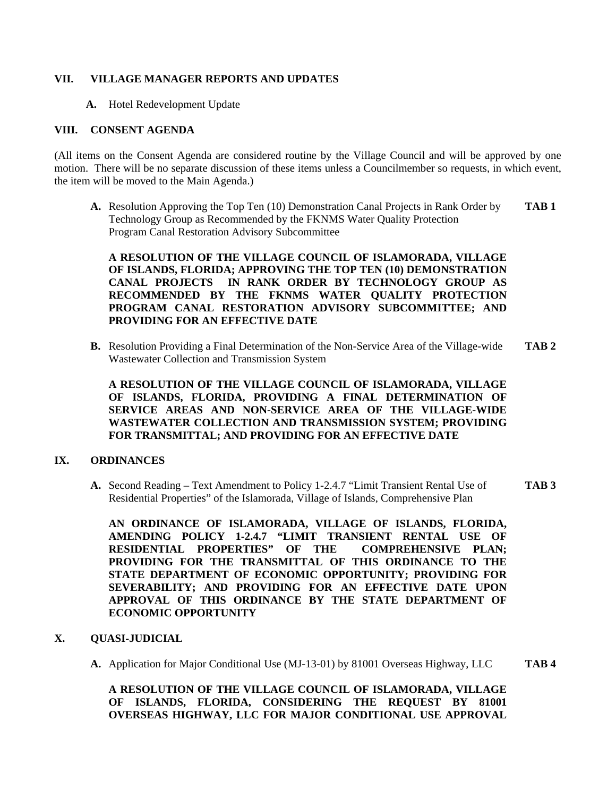## **VII. VILLAGE MANAGER REPORTS AND UPDATES**

**A.** Hotel Redevelopment Update

## **VIII. CONSENT AGENDA**

(All items on the Consent Agenda are considered routine by the Village Council and will be approved by one motion. There will be no separate discussion of these items unless a Councilmember so requests, in which event, the item will be moved to the Main Agenda.)

**A.** Resolution Approving the Top Ten (10) Demonstration Canal Projects in Rank Order by **TAB 1** Technology Group as Recommended by the FKNMS Water Quality Protection Program Canal Restoration Advisory Subcommittee

**A RESOLUTION OF THE VILLAGE COUNCIL OF ISLAMORADA, VILLAGE OF ISLANDS, FLORIDA; APPROVING THE TOP TEN (10) DEMONSTRATION CANAL PROJECTS IN RANK ORDER BY TECHNOLOGY GROUP AS RECOMMENDED BY THE FKNMS WATER QUALITY PROTECTION PROGRAM CANAL RESTORATION ADVISORY SUBCOMMITTEE; AND PROVIDING FOR AN EFFECTIVE DATE** 

**B.** Resolution Providing a Final Determination of the Non-Service Area of the Village-wide **TAB 2** Wastewater Collection and Transmission System

**A RESOLUTION OF THE VILLAGE COUNCIL OF ISLAMORADA, VILLAGE OF ISLANDS, FLORIDA, PROVIDING A FINAL DETERMINATION OF SERVICE AREAS AND NON-SERVICE AREA OF THE VILLAGE-WIDE WASTEWATER COLLECTION AND TRANSMISSION SYSTEM; PROVIDING FOR TRANSMITTAL; AND PROVIDING FOR AN EFFECTIVE DATE** 

#### **IX. ORDINANCES**

**A.** Second Reading – Text Amendment to Policy 1-2.4.7 "Limit Transient Rental Use of **TAB 3** Residential Properties" of the Islamorada, Village of Islands, Comprehensive Plan

**AN ORDINANCE OF ISLAMORADA, VILLAGE OF ISLANDS, FLORIDA, AMENDING POLICY 1-2.4.7 "LIMIT TRANSIENT RENTAL USE OF RESIDENTIAL PROPERTIES" OF THE COMPREHENSIVE PLAN; PROVIDING FOR THE TRANSMITTAL OF THIS ORDINANCE TO THE STATE DEPARTMENT OF ECONOMIC OPPORTUNITY; PROVIDING FOR SEVERABILITY; AND PROVIDING FOR AN EFFECTIVE DATE UPON APPROVAL OF THIS ORDINANCE BY THE STATE DEPARTMENT OF ECONOMIC OPPORTUNITY** 

## **X. QUASI-JUDICIAL**

**A.** Application for Major Conditional Use (MJ-13-01) by 81001 Overseas Highway, LLC **TAB 4** 

**A RESOLUTION OF THE VILLAGE COUNCIL OF ISLAMORADA, VILLAGE OF ISLANDS, FLORIDA, CONSIDERING THE REQUEST BY 81001 OVERSEAS HIGHWAY, LLC FOR MAJOR CONDITIONAL USE APPROVAL**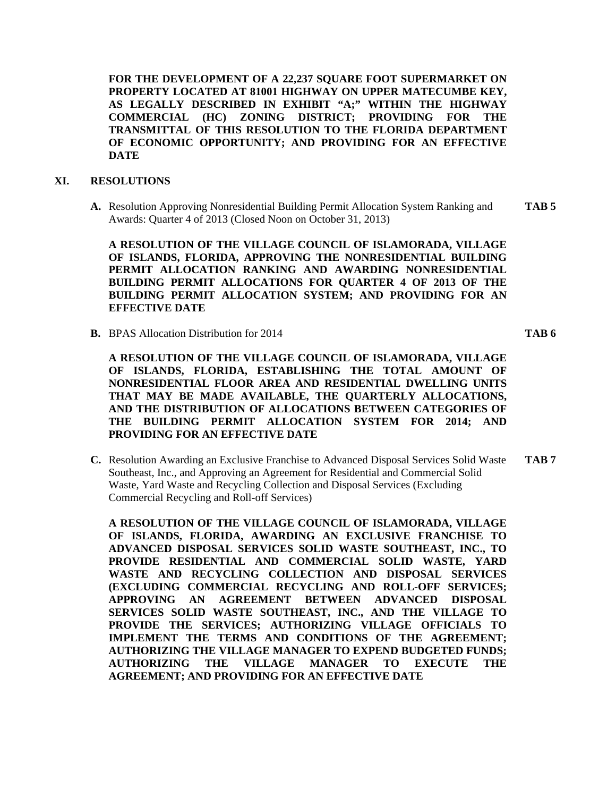**FOR THE DEVELOPMENT OF A 22,237 SQUARE FOOT SUPERMARKET ON PROPERTY LOCATED AT 81001 HIGHWAY ON UPPER MATECUMBE KEY, AS LEGALLY DESCRIBED IN EXHIBIT "A;" WITHIN THE HIGHWAY COMMERCIAL (HC) ZONING DISTRICT; PROVIDING FOR THE TRANSMITTAL OF THIS RESOLUTION TO THE FLORIDA DEPARTMENT OF ECONOMIC OPPORTUNITY; AND PROVIDING FOR AN EFFECTIVE DATE** 

#### **XI. RESOLUTIONS**

**A.** Resolution Approving Nonresidential Building Permit Allocation System Ranking and **TAB 5**  Awards: Quarter 4 of 2013 (Closed Noon on October 31, 2013)

**A RESOLUTION OF THE VILLAGE COUNCIL OF ISLAMORADA, VILLAGE OF ISLANDS, FLORIDA, APPROVING THE NONRESIDENTIAL BUILDING PERMIT ALLOCATION RANKING AND AWARDING NONRESIDENTIAL BUILDING PERMIT ALLOCATIONS FOR QUARTER 4 OF 2013 OF THE BUILDING PERMIT ALLOCATION SYSTEM; AND PROVIDING FOR AN EFFECTIVE DATE** 

**B.** BPAS Allocation Distribution for 2014 **TAB 6** 

**A RESOLUTION OF THE VILLAGE COUNCIL OF ISLAMORADA, VILLAGE OF ISLANDS, FLORIDA, ESTABLISHING THE TOTAL AMOUNT OF NONRESIDENTIAL FLOOR AREA AND RESIDENTIAL DWELLING UNITS THAT MAY BE MADE AVAILABLE, THE QUARTERLY ALLOCATIONS, AND THE DISTRIBUTION OF ALLOCATIONS BETWEEN CATEGORIES OF THE BUILDING PERMIT ALLOCATION SYSTEM FOR 2014; AND PROVIDING FOR AN EFFECTIVE DATE** 

**C.** Resolution Awarding an Exclusive Franchise to Advanced Disposal Services Solid Waste **TAB 7**  Southeast, Inc., and Approving an Agreement for Residential and Commercial Solid Waste, Yard Waste and Recycling Collection and Disposal Services (Excluding Commercial Recycling and Roll-off Services)

**A RESOLUTION OF THE VILLAGE COUNCIL OF ISLAMORADA, VILLAGE OF ISLANDS, FLORIDA, AWARDING AN EXCLUSIVE FRANCHISE TO ADVANCED DISPOSAL SERVICES SOLID WASTE SOUTHEAST, INC., TO PROVIDE RESIDENTIAL AND COMMERCIAL SOLID WASTE, YARD WASTE AND RECYCLING COLLECTION AND DISPOSAL SERVICES (EXCLUDING COMMERCIAL RECYCLING AND ROLL-OFF SERVICES; APPROVING AN AGREEMENT BETWEEN ADVANCED DISPOSAL SERVICES SOLID WASTE SOUTHEAST, INC., AND THE VILLAGE TO PROVIDE THE SERVICES; AUTHORIZING VILLAGE OFFICIALS TO IMPLEMENT THE TERMS AND CONDITIONS OF THE AGREEMENT; AUTHORIZING THE VILLAGE MANAGER TO EXPEND BUDGETED FUNDS; AUTHORIZING THE VILLAGE MANAGER TO EXECUTE THE AGREEMENT; AND PROVIDING FOR AN EFFECTIVE DATE**